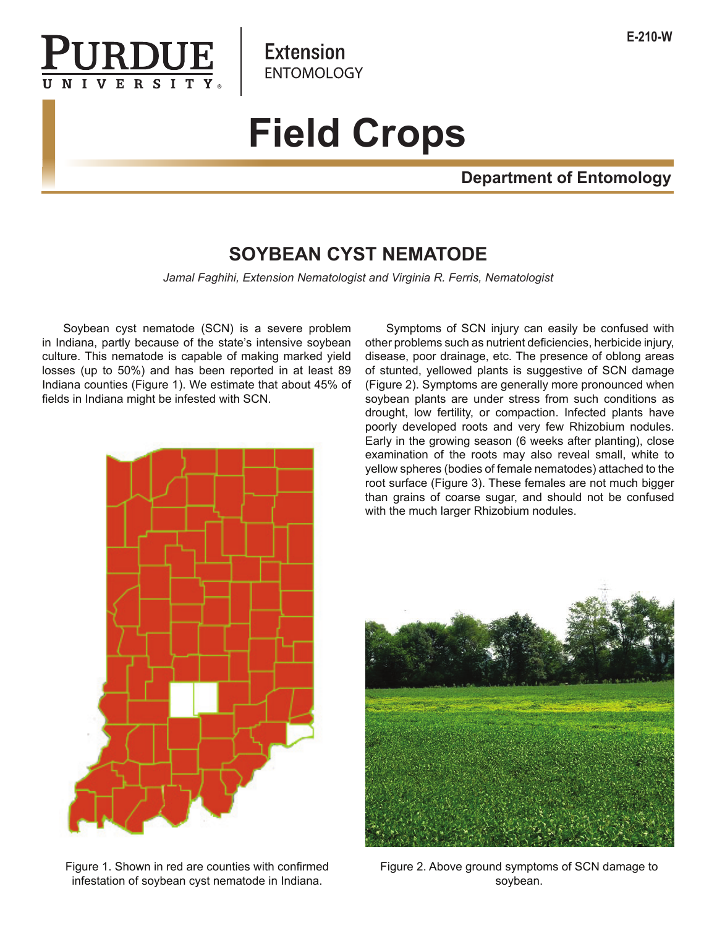

**Extension ENTOMOLOGY** 

# **Field Crops**

# **Department of Entomology**

# **SOYBEAN CYST NEMATODE**

*Jamal Faghihi, Extension Nematologist and Virginia R. Ferris, Nematologist*

 Soybean cyst nematode (SCN) is a severe problem in Indiana, partly because of the state's intensive soybean culture. This nematode is capable of making marked yield losses (up to 50%) and has been reported in at least 89 Indiana counties (Figure 1). We estimate that about 45% of fields in Indiana might be infested with SCN.



Figure 1. Shown in red are counties with confirmed infestation of soybean cyst nematode in Indiana.

 Symptoms of SCN injury can easily be confused with other problems such as nutrient deficiencies, herbicide injury, disease, poor drainage, etc. The presence of oblong areas of stunted, yellowed plants is suggestive of SCN damage (Figure 2). Symptoms are generally more pronounced when soybean plants are under stress from such conditions as drought, low fertility, or compaction. Infected plants have poorly developed roots and very few Rhizobium nodules. Early in the growing season (6 weeks after planting), close examination of the roots may also reveal small, white to yellow spheres (bodies of female nematodes) attached to the root surface (Figure 3). These females are not much bigger than grains of coarse sugar, and should not be confused with the much larger Rhizobium nodules.



Figure 2. Above ground symptoms of SCN damage to soybean.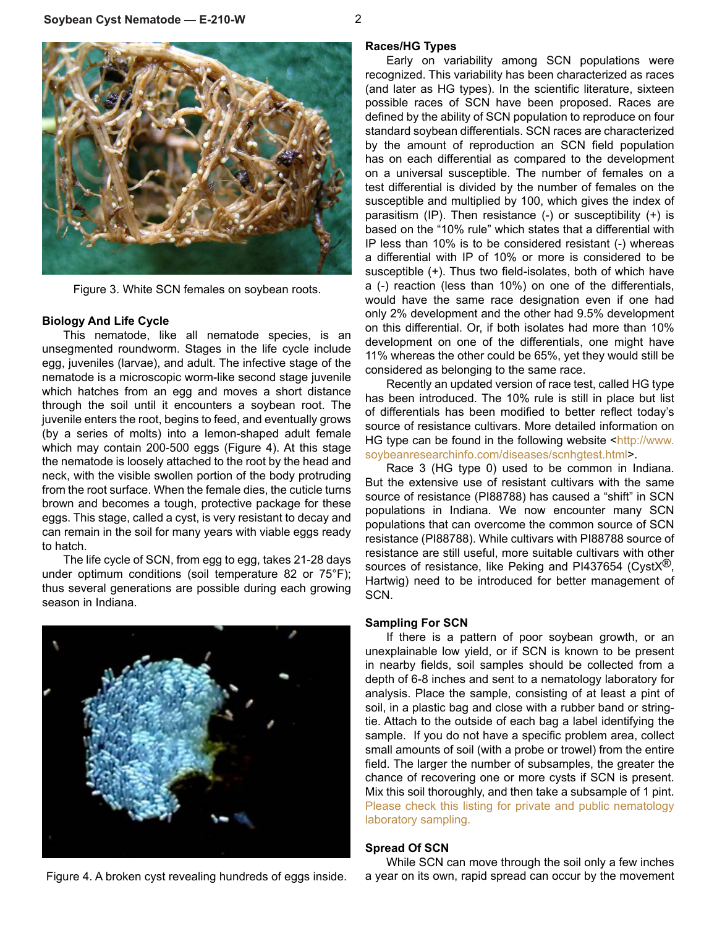



Figure 3. White SCN females on soybean roots.

#### **Biology And Life Cycle**

This nematode, like all nematode species, is an unsegmented roundworm. Stages in the life cycle include egg, juveniles (larvae), and adult. The infective stage of the nematode is a microscopic worm-like second stage juvenile which hatches from an egg and moves a short distance through the soil until it encounters a soybean root. The juvenile enters the root, begins to feed, and eventually grows (by a series of molts) into a lemon-shaped adult female which may contain 200-500 eggs (Figure 4). At this stage the nematode is loosely attached to the root by the head and neck, with the visible swollen portion of the body protruding from the root surface. When the female dies, the cuticle turns brown and becomes a tough, protective package for these eggs. This stage, called a cyst, is very resistant to decay and can remain in the soil for many years with viable eggs ready to hatch.

The life cycle of SCN, from egg to egg, takes 21-28 days under optimum conditions (soil temperature 82 or 75°F); thus several generations are possible during each growing season in Indiana.



Figure 4. A broken cyst revealing hundreds of eggs inside.

# **Races/HG Types**

Early on variability among SCN populations were recognized. This variability has been characterized as races (and later as HG types). In the scientific literature, sixteen possible races of SCN have been proposed. Races are defined by the ability of SCN population to reproduce on four standard soybean differentials. SCN races are characterized by the amount of reproduction an SCN field population has on each differential as compared to the development on a universal susceptible. The number of females on a test differential is divided by the number of females on the susceptible and multiplied by 100, which gives the index of parasitism (IP). Then resistance (-) or susceptibility (+) is based on the "10% rule" which states that a differential with IP less than 10% is to be considered resistant (-) whereas a differential with IP of 10% or more is considered to be susceptible (+). Thus two field-isolates, both of which have a (-) reaction (less than 10%) on one of the differentials, would have the same race designation even if one had only 2% development and the other had 9.5% development on this differential. Or, if both isolates had more than 10% development on one of the differentials, one might have 11% whereas the other could be 65%, yet they would still be considered as belonging to the same race.

Recently an updated version of race test, called HG type has been introduced. The 10% rule is still in place but list of differentials has been modified to better reflect today's source of resistance cultivars. More detailed information on HG type can be found in the following website <http://www. soybeanresearchinfo.com/diseases/scnhgtest.html>.

Race 3 (HG type 0) used to be common in Indiana. But the extensive use of resistant cultivars with the same source of resistance (PI88788) has caused a "shift" in SCN populations in Indiana. We now encounter many SCN populations that can overcome the common source of SCN resistance (PI88788). While cultivars with PI88788 source of resistance are still useful, more suitable cultivars with other sources of resistance, like Peking and PI437654 (Cyst $X^{(8)}$ , Hartwig) need to be introduced for better management of SCN.

#### **Sampling For SCN**

If there is a pattern of poor soybean growth, or an unexplainable low yield, or if SCN is known to be present in nearby fields, soil samples should be collected from a depth of 6-8 inches and sent to a nematology laboratory for analysis. Place the sample, consisting of at least a pint of soil, in a plastic bag and close with a rubber band or stringtie. Attach to the outside of each bag a label identifying the sample. If you do not have a specific problem area, collect small amounts of soil (with a probe or trowel) from the entire field. The larger the number of subsamples, the greater the chance of recovering one or more cysts if SCN is present. Mix this soil thoroughly, and then take a subsample of 1 pint. Please check this listing for private and public nematology laboratory sampling.

#### **Spread Of SCN**

While SCN can move through the soil only a few inches a year on its own, rapid spread can occur by the movement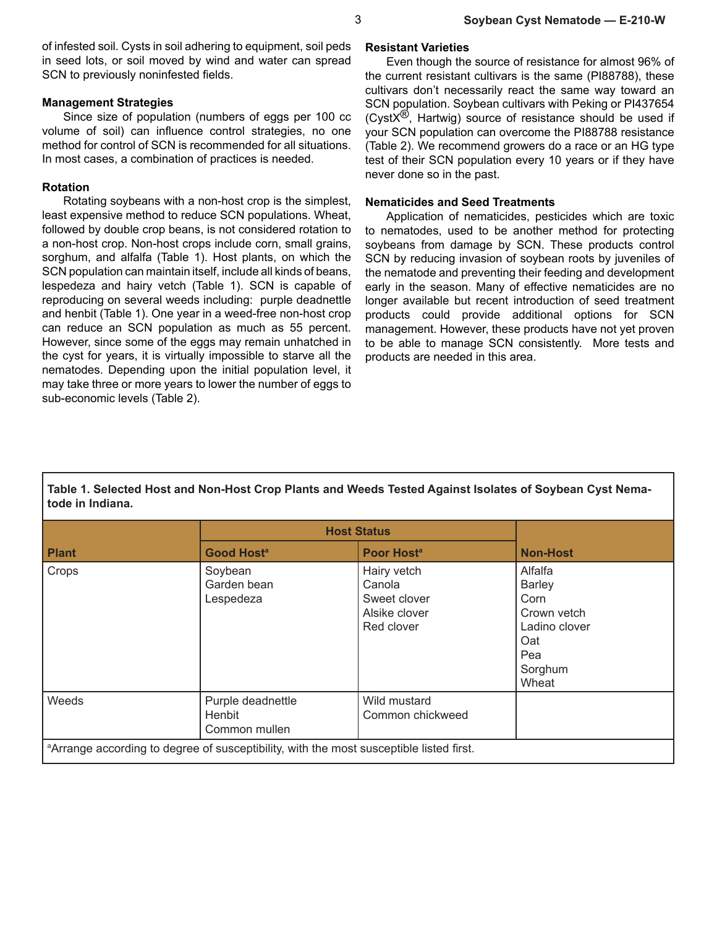of infested soil. Cysts in soil adhering to equipment, soil peds in seed lots, or soil moved by wind and water can spread SCN to previously noninfested fields.

#### **Management Strategies**

Since size of population (numbers of eggs per 100 cc volume of soil) can influence control strategies, no one method for control of SCN is recommended for all situations. In most cases, a combination of practices is needed.

## **Rotation**

Rotating soybeans with a non-host crop is the simplest, least expensive method to reduce SCN populations. Wheat, followed by double crop beans, is not considered rotation to a non-host crop. Non-host crops include corn, small grains, sorghum, and alfalfa (Table 1). Host plants, on which the SCN population can maintain itself, include all kinds of beans, lespedeza and hairy vetch (Table 1). SCN is capable of reproducing on several weeds including: purple deadnettle and henbit (Table 1). One year in a weed-free non-host crop can reduce an SCN population as much as 55 percent. However, since some of the eggs may remain unhatched in the cyst for years, it is virtually impossible to starve all the nematodes. Depending upon the initial population level, it may take three or more years to lower the number of eggs to sub-economic levels (Table 2).

## **Resistant Varieties**

Even though the source of resistance for almost 96% of the current resistant cultivars is the same (PI88788), these cultivars don't necessarily react the same way toward an SCN population. Soybean cultivars with Peking or PI437654 (Cyst $X^{(8)}$ , Hartwig) source of resistance should be used if your SCN population can overcome the PI88788 resistance (Table 2). We recommend growers do a race or an HG type test of their SCN population every 10 years or if they have never done so in the past.

# **Nematicides and Seed Treatments**

Application of nematicides, pesticides which are toxic to nematodes, used to be another method for protecting soybeans from damage by SCN. These products control SCN by reducing invasion of soybean roots by juveniles of the nematode and preventing their feeding and development early in the season. Many of effective nematicides are no longer available but recent introduction of seed treatment products could provide additional options for SCN management. However, these products have not yet proven to be able to manage SCN consistently. More tests and products are needed in this area.

**Table 1. Selected Host and Non-Host Crop Plants and Weeds Tested Against Isolates of Soybean Cyst Nematode in Indiana.**

|                                                                                                     | <b>Host Status</b>                           |                                                                      |                                                                                                    |  |  |
|-----------------------------------------------------------------------------------------------------|----------------------------------------------|----------------------------------------------------------------------|----------------------------------------------------------------------------------------------------|--|--|
| <b>Plant</b>                                                                                        | Good Host <sup>a</sup>                       | Poor Host <sup>a</sup>                                               | <b>Non-Host</b>                                                                                    |  |  |
| Crops                                                                                               | Soybean<br>Garden bean<br>Lespedeza          | Hairy vetch<br>Canola<br>Sweet clover<br>Alsike clover<br>Red clover | Alfalfa<br><b>Barley</b><br>Corn<br>Crown vetch<br>Ladino clover<br>Oat<br>Pea<br>Sorghum<br>Wheat |  |  |
| Weeds                                                                                               | Purple deadnettle<br>Henbit<br>Common mullen | Wild mustard<br>Common chickweed                                     |                                                                                                    |  |  |
| <sup>a</sup> Arrange according to degree of susceptibility, with the most susceptible listed first. |                                              |                                                                      |                                                                                                    |  |  |